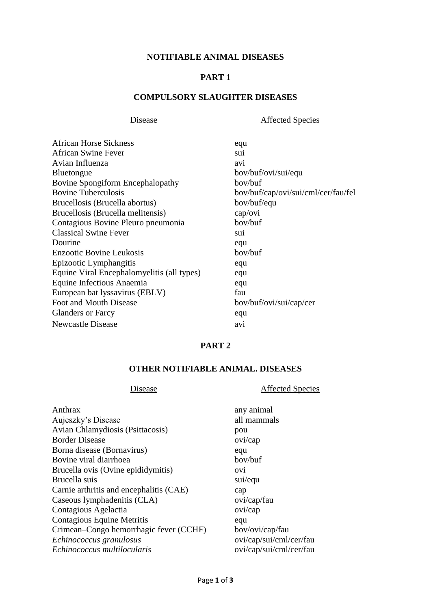### **NOTIFIABLE ANIMAL DISEASES**

# **PART 1**

#### **COMPULSORY SLAUGHTER DISEASES**

Disease **Affected Species** 

| <b>African Horse Sickness</b>              | equ                                 |
|--------------------------------------------|-------------------------------------|
| <b>African Swine Fever</b>                 | sui                                 |
| Avian Influenza                            | avi                                 |
| <b>Bluetongue</b>                          | bov/buf/ovi/sui/equ                 |
| <b>Bovine Spongiform Encephalopathy</b>    | bov/buf                             |
| <b>Bovine Tuberculosis</b>                 | bov/buf/cap/ovi/sui/cml/cer/fau/fel |
| Brucellosis (Brucella abortus)             | bov/buf/equ                         |
| Brucellosis (Brucella melitensis)          | cap/ovi                             |
| Contagious Bovine Pleuro pneumonia         | bov/buf                             |
| <b>Classical Swine Fever</b>               | sui                                 |
| Dourine                                    | equ                                 |
| <b>Enzootic Bovine Leukosis</b>            | bov/buf                             |
| Epizootic Lymphangitis                     | equ                                 |
| Equine Viral Encephalomyelitis (all types) | equ                                 |
| Equine Infectious Anaemia                  | equ                                 |
| European bat lyssavirus (EBLV)             | fau                                 |
| Foot and Mouth Disease                     | bov/buf/ovi/sui/cap/cer             |
| <b>Glanders or Farcy</b>                   | equ                                 |
| Newcastle Disease                          | avi                                 |

### **PART 2**

# **OTHER NOTIFIABLE ANIMAL. DISEASES**

# Disease **Affected Species**

| Anthrax                                 | any animal              |
|-----------------------------------------|-------------------------|
| Aujeszky's Disease                      | all mammals             |
| Avian Chlamydiosis (Psittacosis)        | pou                     |
| <b>Border Disease</b>                   | ovi/cap                 |
| Borna disease (Bornavirus)              | equ                     |
| Bovine viral diarrhoea                  | bov/buf                 |
| Brucella ovis (Ovine epididymitis)      | OV <sub>1</sub>         |
| Brucella suis                           | sui/equ                 |
| Carnie arthritis and encephalitis (CAE) | cap                     |
| Caseous lymphadenitis (CLA)             | ovi/cap/fau             |
| Contagious Agelactia                    | ovi/cap                 |
| Contagious Equine Metritis              | equ                     |
| Crimean–Congo hemorrhagic fever (CCHF)  | bov/ovi/cap/fau         |
| Echinococcus granulosus                 | ovi/cap/sui/cml/cer/fau |
| Echinococcus multilocularis             | ovi/cap/sui/cml/cer/fau |
|                                         |                         |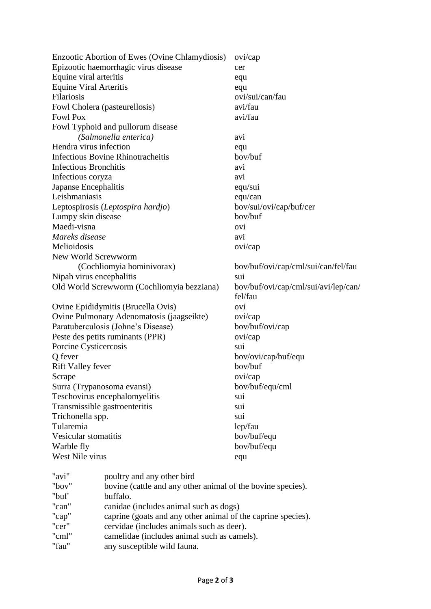|                                            | Enzootic Abortion of Ewes (Ovine Chlamydiosis)              | ovi/cap                              |  |
|--------------------------------------------|-------------------------------------------------------------|--------------------------------------|--|
| Epizootic haemorrhagic virus disease       |                                                             | cer                                  |  |
| Equine viral arteritis                     |                                                             | equ                                  |  |
| <b>Equine Viral Arteritis</b>              |                                                             | equ                                  |  |
| Filariosis                                 |                                                             | ovi/sui/can/fau                      |  |
|                                            | Fowl Cholera (pasteurellosis)                               | avi/fau                              |  |
| <b>Fowl Pox</b>                            |                                                             | avi/fau                              |  |
|                                            | Fowl Typhoid and pullorum disease                           |                                      |  |
|                                            | (Salmonella enterica)                                       | avi                                  |  |
| Hendra virus infection                     |                                                             | equ                                  |  |
|                                            | Infectious Bovine Rhinotracheitis                           | bov/buf                              |  |
| <b>Infectious Bronchitis</b>               |                                                             | avi                                  |  |
| Infectious coryza                          |                                                             | avi                                  |  |
| Japanse Encephalitis                       |                                                             | equ/sui                              |  |
| Leishmaniasis                              |                                                             | equ/can                              |  |
|                                            | Leptospirosis (Leptospira hardjo)                           | bov/sui/ovi/cap/buf/cer              |  |
| Lumpy skin disease                         |                                                             | bov/buf                              |  |
| Maedi-visna                                |                                                             | ovi                                  |  |
| Mareks disease                             |                                                             | avi                                  |  |
| Melioidosis                                |                                                             | ovi/cap                              |  |
| New World Screwworm                        |                                                             |                                      |  |
|                                            | (Cochliomyia hominivorax)                                   | bov/buf/ovi/cap/cml/sui/can/fel/fau  |  |
| Nipah virus encephalitis                   |                                                             | <b>SUI</b>                           |  |
| Old World Screwworm (Cochliomyia bezziana) |                                                             | bov/buf/ovi/cap/cml/sui/avi/lep/can/ |  |
|                                            |                                                             | fel/fau                              |  |
|                                            | Ovine Epididymitis (Brucella Ovis)                          | ovi                                  |  |
| Ovine Pulmonary Adenomatosis (jaagseikte)  |                                                             | ovi/cap                              |  |
| Paratuberculosis (Johne's Disease)         |                                                             | bov/buf/ovi/cap                      |  |
| Peste des petits ruminants (PPR)           |                                                             | ovi/cap                              |  |
| Porcine Cysticercosis                      |                                                             | sui                                  |  |
| Q fever                                    |                                                             | bov/ovi/cap/buf/equ                  |  |
| <b>Rift Valley fever</b>                   |                                                             | bov/buf                              |  |
| Scrape                                     |                                                             | ovi/cap                              |  |
| Surra (Trypanosoma evansi)                 |                                                             | bov/buf/equ/cml                      |  |
| Teschovirus encephalomyelitis              |                                                             | sui                                  |  |
|                                            | Transmissible gastroenteritis                               | sui                                  |  |
| Trichonella spp.                           |                                                             | sui                                  |  |
| Tularemia                                  |                                                             | lep/fau                              |  |
| Vesicular stomatitis                       |                                                             | bov/buf/equ                          |  |
| Warble fly                                 |                                                             | bov/buf/equ                          |  |
| West Nile virus                            |                                                             | equ                                  |  |
| "avi"                                      | poultry and any other bird                                  |                                      |  |
| "bov"                                      | bovine (cattle and any other animal of the bovine species). |                                      |  |
| "buf"                                      | buffalo.                                                    |                                      |  |
| "can"                                      | canidae (includes animal such as dogs)                      |                                      |  |
|                                            |                                                             |                                      |  |

"cap" caprine (goats and any other animal of the caprine species).

- "cer" cervidae (includes animals such as deer).
- "cml" camelidae (includes animal such as camels).<br>"fau" any susceptible wild fauna.
- any susceptible wild fauna.